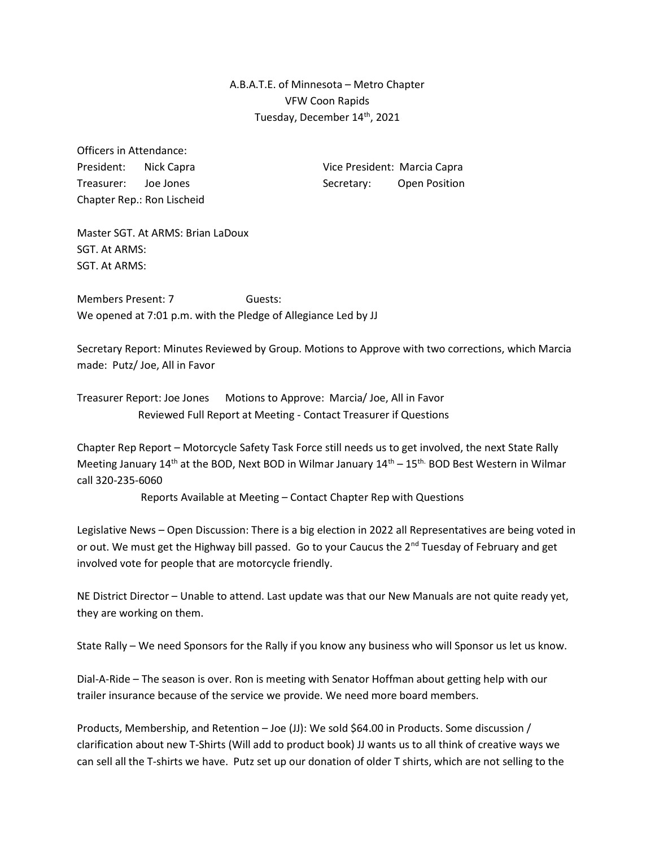A.B.A.T.E. of Minnesota – Metro Chapter VFW Coon Rapids Tuesday, December 14th, 2021

Officers in Attendance: Chapter Rep.: Ron Lischeid

President: Nick Capra Vice President: Marcia Capra Treasurer: Joe Jones Secretary: Open Position

Master SGT. At ARMS: Brian LaDoux SGT. At ARMS: SGT. At ARMS:

Members Present: 7 Guests: We opened at 7:01 p.m. with the Pledge of Allegiance Led by JJ

Secretary Report: Minutes Reviewed by Group. Motions to Approve with two corrections, which Marcia made: Putz/ Joe, All in Favor

Treasurer Report: Joe Jones Motions to Approve: Marcia/ Joe, All in Favor Reviewed Full Report at Meeting - Contact Treasurer if Questions

Chapter Rep Report – Motorcycle Safety Task Force still needs us to get involved, the next State Rally Meeting January  $14<sup>th</sup>$  at the BOD, Next BOD in Wilmar January  $14<sup>th</sup> - 15<sup>th</sup>$  BOD Best Western in Wilmar call 320-235-6060

Reports Available at Meeting – Contact Chapter Rep with Questions

Legislative News – Open Discussion: There is a big election in 2022 all Representatives are being voted in or out. We must get the Highway bill passed. Go to your Caucus the 2<sup>nd</sup> Tuesday of February and get involved vote for people that are motorcycle friendly.

NE District Director – Unable to attend. Last update was that our New Manuals are not quite ready yet, they are working on them.

State Rally – We need Sponsors for the Rally if you know any business who will Sponsor us let us know.

Dial-A-Ride – The season is over. Ron is meeting with Senator Hoffman about getting help with our trailer insurance because of the service we provide. We need more board members.

Products, Membership, and Retention – Joe (JJ): We sold \$64.00 in Products. Some discussion / clarification about new T-Shirts (Will add to product book) JJ wants us to all think of creative ways we can sell all the T-shirts we have. Putz set up our donation of older T shirts, which are not selling to the